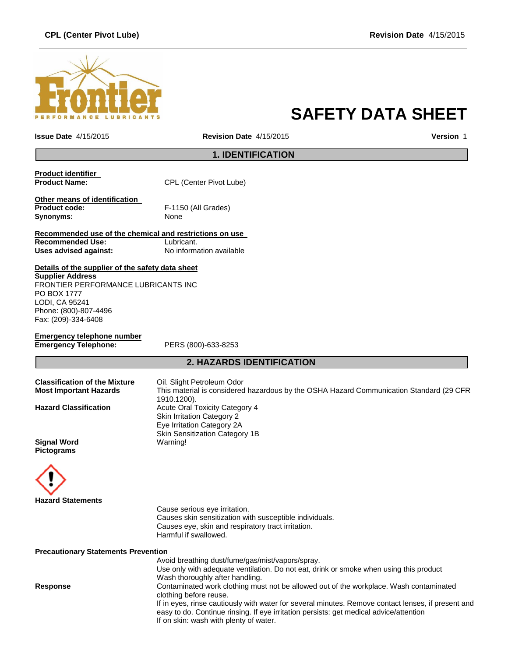# **CPL (Center Pivot Lube) Revision Date** 4/15/2015



# **SAFETY DATA SHEET**

**Issue Date** 4/15/2015 **Revision Date** 4/15/2015 **Version** 1

# **1. IDENTIFICATION**

| Product identifier |                         |
|--------------------|-------------------------|
| Product Name:      | CPL (Center Pivot Lube) |
|                    |                         |

**Other means of identification Product code:** F-1150 (All Grades) **Synonyms:** None

**Recommended use of the chemical and restrictions on use Recommended Use:**<br> **Uses advised against:**<br> **No information available Uses advised against:** 

**Details of the supplier of the safety data sheet Supplier Address**

FRONTIER PERFORMANCE LUBRICANTS INC PO BOX 1777 LODI, CA 95241 Phone: (800)-807-4496 Fax: (209)-334-6408

**Emergency telephone number Emergency Telephone:** PERS (800)-633-8253

# **2. HAZARDS IDENTIFICATION**

| <b>Classification of the Mixture</b>    | Oil. Slight Petroleum Odor                                                                                                                        |
|-----------------------------------------|---------------------------------------------------------------------------------------------------------------------------------------------------|
| <b>Most Important Hazards</b>           | This material is considered hazardous by the OSHA Hazard Communication Standard (29 CFR<br>1910.1200).                                            |
| <b>Hazard Classification</b>            | <b>Acute Oral Toxicity Category 4</b><br><b>Skin Irritation Category 2</b><br>Eye Irritation Category 2A<br><b>Skin Sensitization Category 1B</b> |
| <b>Signal Word</b><br><b>Pictograms</b> | Warning!                                                                                                                                          |



Cause serious eye irritation. Causes skin sensitization with susceptible individuals. Causes eye, skin and respiratory tract irritation. Harmful if swallowed.

**Precautionary Statements Prevention**

Avoid breathing dust/fume/gas/mist/vapors/spray. Use only with adequate ventilation. Do not eat, drink or smoke when using this product Wash thoroughly after handling. **Response** Contaminated work clothing must not be allowed out of the workplace. Wash contaminated clothing before reuse. If in eyes, rinse cautiously with water for several minutes. Remove contact lenses, if present and easy to do. Continue rinsing. If eye irritation persists: get medical advice/attention If on skin: wash with plenty of water.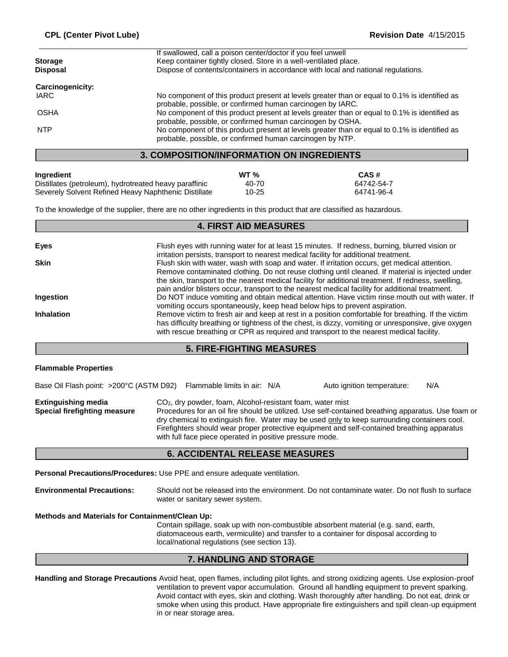|                                   | <b>3. COMPOSITION/INFORMATION ON INGREDIENTS</b>                                                                                                            |
|-----------------------------------|-------------------------------------------------------------------------------------------------------------------------------------------------------------|
| <b>NTP</b>                        | No component of this product present at levels greater than or equal to 0.1% is identified as<br>probable, possible, or confirmed human carcinogen by NTP.  |
|                                   | probable, possible, or confirmed human carcinogen by OSHA.                                                                                                  |
| <b>OSHA</b>                       | probable, possible, or confirmed human carcinogen by IARC.<br>No component of this product present at levels greater than or equal to 0.1% is identified as |
| IARC                              | No component of this product present at levels greater than or equal to 0.1% is identified as                                                               |
| <b>Carcinogenicity:</b>           |                                                                                                                                                             |
| <b>Storage</b><br><b>Disposal</b> | Keep container tightly closed. Store in a well-ventilated place.<br>Dispose of contents/containers in accordance with local and national regulations.       |
|                                   | If swallowed, call a poison center/doctor if you feel unwell                                                                                                |

| Ingredient                                             | WT $\%$ | CAS#       |
|--------------------------------------------------------|---------|------------|
| Distillates (petroleum), hydrotreated heavy paraffinic | 40-70   | 64742-54-7 |
| Severely Solvent Refined Heavy Naphthenic Distillate   | 10-25   | 64741-96-4 |

To the knowledge of the supplier, there are no other ingredients in this product that are classified as hazardous.

## **Eyes** Flush eyes with running water for at least 15 minutes. If redness, burning, blurred vision or irritation persists, transport to nearest medical facility for additional treatment. **Skin** Flush skin with water, wash with soap and water. If irritation occurs, get medical attention. Remove contaminated clothing. Do not reuse clothing until cleaned. If material is injected under the skin, transport to the nearest medical facility for additional treatment. If redness, swelling, pain and/or blisters occur, transport to the nearest medical facility for additional treatment. **Ingestion Do NOT** induce vomiting and obtain medical attention. Have victim rinse mouth out with water. If vomiting occurs spontaneously, keep head below hips to prevent aspiration. **Inhalation** Remove victim to fresh air and keep at rest in a position comfortable for breathing. If the victim has difficulty breathing or tightness of the chest, is dizzy, vomiting or unresponsive, give oxygen with rescue breathing or CPR as required and transport to the nearest medical facility. **4. FIRST AID MEASURES**

## **5. FIRE-FIGHTING MEASURES**

## **Flammable Properties**

| Base Oil Flash point: >200°C (ASTM D92) Flammable limits in air: N/A |                                                                                                                                    | Auto ignition temperature:                                                                                                                                                                                                                                                                        | N/A |
|----------------------------------------------------------------------|------------------------------------------------------------------------------------------------------------------------------------|---------------------------------------------------------------------------------------------------------------------------------------------------------------------------------------------------------------------------------------------------------------------------------------------------|-----|
| <b>Extinguishing media</b><br>Special firefighting measure           | CO <sub>2</sub> , dry powder, foam, Alcohol-resistant foam, water mist<br>with full face piece operated in positive pressure mode. | Procedures for an oil fire should be utilized. Use self-contained breathing apparatus. Use foam or<br>dry chemical to extinguish fire. Water may be used only to keep surrounding containers cool.<br>Firefighters should wear proper protective equipment and self-contained breathing apparatus |     |

# **6. ACCIDENTAL RELEASE MEASURES**

**Personal Precautions/Procedures:** Use PPE and ensure adequate ventilation.

**Environmental Precautions:** Should not be released into the environment. Do not contaminate water. Do not flush to surface water or sanitary sewer system.

#### **Methods and Materials for Containment/Clean Up:**

Contain spillage, soak up with non-combustible absorbent material (e.g. sand, earth, diatomaceous earth, vermiculite) and transfer to a container for disposal according to local/national regulations (see section 13).

# **7. HANDLING AND STORAGE**

**Handling and Storage Precautions** Avoid heat, open flames, including pilot lights, and strong oxidizing agents. Use explosion-proof ventilation to prevent vapor accumulation. Ground all handling equipment to prevent sparking. Avoid contact with eyes, skin and clothing. Wash thoroughly after handling. Do not eat, drink or smoke when using this product. Have appropriate fire extinguishers and spill clean-up equipment in or near storage area.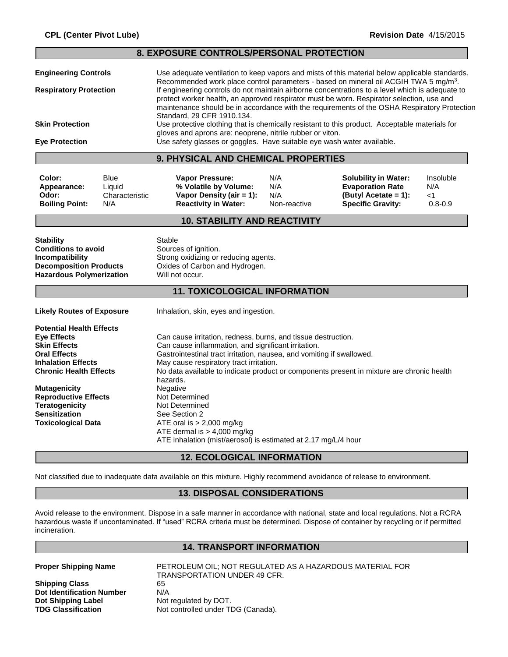| 8. EXPOSURE CONTROLS/PERSONAL PROTECTION                                                                                                                                                                                                                                                                                                                                                                                                                                                                                                                                                                                                                                                                                                                                                                                                                      |                                                |                                                                                                                                                                                                                                                                                                                                                                                                                                                                                                    |                                   |                                                                                                            |                                          |
|---------------------------------------------------------------------------------------------------------------------------------------------------------------------------------------------------------------------------------------------------------------------------------------------------------------------------------------------------------------------------------------------------------------------------------------------------------------------------------------------------------------------------------------------------------------------------------------------------------------------------------------------------------------------------------------------------------------------------------------------------------------------------------------------------------------------------------------------------------------|------------------------------------------------|----------------------------------------------------------------------------------------------------------------------------------------------------------------------------------------------------------------------------------------------------------------------------------------------------------------------------------------------------------------------------------------------------------------------------------------------------------------------------------------------------|-----------------------------------|------------------------------------------------------------------------------------------------------------|------------------------------------------|
| <b>Engineering Controls</b><br><b>Respiratory Protection</b>                                                                                                                                                                                                                                                                                                                                                                                                                                                                                                                                                                                                                                                                                                                                                                                                  |                                                | Use adequate ventilation to keep vapors and mists of this material below applicable standards.<br>Recommended work place control parameters - based on mineral oil ACGIH TWA 5 mg/m <sup>3</sup> .<br>If engineering controls do not maintain airborne concentrations to a level which is adequate to<br>protect worker health, an approved respirator must be worn. Respirator selection, use and<br>maintenance should be in accordance with the requirements of the OSHA Respiratory Protection |                                   |                                                                                                            |                                          |
| <b>Skin Protection</b><br><b>Eye Protection</b>                                                                                                                                                                                                                                                                                                                                                                                                                                                                                                                                                                                                                                                                                                                                                                                                               |                                                | Standard, 29 CFR 1910.134.<br>Use protective clothing that is chemically resistant to this product. Acceptable materials for<br>gloves and aprons are: neoprene, nitrile rubber or viton.                                                                                                                                                                                                                                                                                                          |                                   |                                                                                                            |                                          |
| Use safety glasses or goggles. Have suitable eye wash water available.<br>9. PHYSICAL AND CHEMICAL PROPERTIES                                                                                                                                                                                                                                                                                                                                                                                                                                                                                                                                                                                                                                                                                                                                                 |                                                |                                                                                                                                                                                                                                                                                                                                                                                                                                                                                                    |                                   |                                                                                                            |                                          |
| Color:<br>Appearance:<br>Odor:<br><b>Boiling Point:</b>                                                                                                                                                                                                                                                                                                                                                                                                                                                                                                                                                                                                                                                                                                                                                                                                       | <b>Blue</b><br>Liquid<br>Characteristic<br>N/A | Vapor Pressure:<br>% Volatile by Volume:<br>Vapor Density (air = 1):<br><b>Reactivity in Water:</b>                                                                                                                                                                                                                                                                                                                                                                                                | N/A<br>N/A<br>N/A<br>Non-reactive | <b>Solubility in Water:</b><br><b>Evaporation Rate</b><br>(Butyl Acetate = 1):<br><b>Specific Gravity:</b> | Insoluble<br>N/A<br>$<$ 1<br>$0.8 - 0.9$ |
|                                                                                                                                                                                                                                                                                                                                                                                                                                                                                                                                                                                                                                                                                                                                                                                                                                                               |                                                | <b>10. STABILITY AND REACTIVITY</b>                                                                                                                                                                                                                                                                                                                                                                                                                                                                |                                   |                                                                                                            |                                          |
| <b>Stability</b><br><b>Conditions to avoid</b><br>Incompatibility<br><b>Decomposition Products</b><br><b>Hazardous Polymerization</b>                                                                                                                                                                                                                                                                                                                                                                                                                                                                                                                                                                                                                                                                                                                         |                                                | Stable<br>Sources of ignition.<br>Strong oxidizing or reducing agents.<br>Oxides of Carbon and Hydrogen.<br>Will not occur.                                                                                                                                                                                                                                                                                                                                                                        |                                   |                                                                                                            |                                          |
|                                                                                                                                                                                                                                                                                                                                                                                                                                                                                                                                                                                                                                                                                                                                                                                                                                                               |                                                | <b>11. TOXICOLOGICAL INFORMATION</b>                                                                                                                                                                                                                                                                                                                                                                                                                                                               |                                   |                                                                                                            |                                          |
| <b>Likely Routes of Exposure</b>                                                                                                                                                                                                                                                                                                                                                                                                                                                                                                                                                                                                                                                                                                                                                                                                                              |                                                | Inhalation, skin, eyes and ingestion.                                                                                                                                                                                                                                                                                                                                                                                                                                                              |                                   |                                                                                                            |                                          |
| <b>Potential Health Effects</b><br><b>Eye Effects</b><br>Can cause irritation, redness, burns, and tissue destruction.<br><b>Skin Effects</b><br>Can cause inflammation, and significant irritation.<br><b>Oral Effects</b><br>Gastrointestinal tract irritation, nausea, and vomiting if swallowed.<br>May cause respiratory tract irritation.<br><b>Inhalation Effects</b><br><b>Chronic Health Effects</b><br>No data available to indicate product or components present in mixture are chronic health<br>hazards.<br><b>Mutagenicity</b><br>Negative<br><b>Reproductive Effects</b><br>Not Determined<br><b>Teratogenicity</b><br>Not Determined<br><b>Sensitization</b><br>See Section 2<br><b>Toxicological Data</b><br>ATE oral is $> 2,000$ mg/kg<br>ATE dermal is $> 4,000$ mg/kg<br>ATE inhalation (mist/aerosol) is estimated at 2.17 mg/L/4 hour |                                                |                                                                                                                                                                                                                                                                                                                                                                                                                                                                                                    |                                   |                                                                                                            |                                          |

# **12. ECOLOGICAL INFORMATION**

Not classified due to inadequate data available on this mixture. Highly recommend avoidance of release to environment.

# **13. DISPOSAL CONSIDERATIONS**

Avoid release to the environment. Dispose in a safe manner in accordance with national, state and local regulations. Not a RCRA hazardous waste if uncontaminated. If "used" RCRA criteria must be determined. Dispose of container by recycling or if permitted incineration.

# **14. TRANSPORT INFORMATION**

**Shipping Class** 65 **Dot Identification Number** N/A<br> **Dot Shipping Label** Not **Dot Shipping Label Mot regulated by DOT.<br>
<b>TDG Classification** Not controlled under TI

**Proper Shipping Name** PETROLEUM OIL; NOT REGULATED AS A HAZARDOUS MATERIAL FOR TRANSPORTATION UNDER 49 CFR. Not controlled under TDG (Canada).